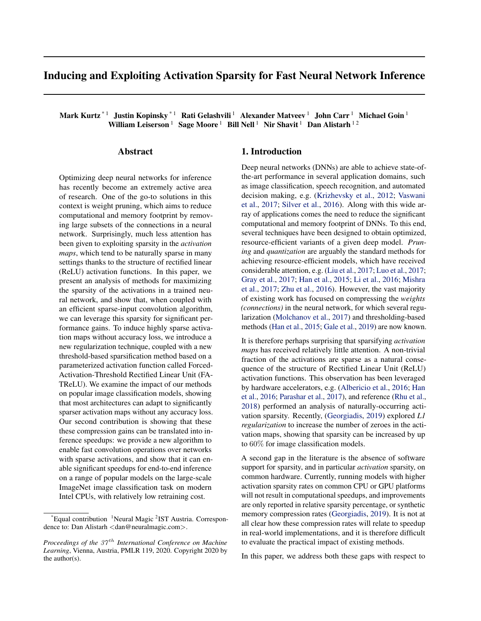# Inducing and Exploiting Activation Sparsity for Fast Neural Network Inference

Mark Kurtz<sup>\*1</sup> Justin Kopinsky<sup>\*1</sup> Rati Gelashvili<sup>1</sup> Alexander Matveev<sup>1</sup> John Carr<sup>1</sup> Michael Goin<sup>1</sup> William Leiserson<sup>1</sup> Sage Moore<sup>1</sup> Bill Nell<sup>1</sup> Nir Shavit<sup>1</sup> Dan Alistarh<sup>12</sup>

## Abstract

Optimizing deep neural networks for inference has recently become an extremely active area of research. One of the go-to solutions in this context is weight pruning, which aims to reduce computational and memory footprint by removing large subsets of the connections in a neural network. Surprisingly, much less attention has been given to exploiting sparsity in the *activation maps*, which tend to be naturally sparse in many settings thanks to the structure of rectified linear (ReLU) activation functions. In this paper, we present an analysis of methods for maximizing the sparsity of the activations in a trained neural network, and show that, when coupled with an efficient sparse-input convolution algorithm, we can leverage this sparsity for significant performance gains. To induce highly sparse activation maps without accuracy loss, we introduce a new regularization technique, coupled with a new threshold-based sparsification method based on a parameterized activation function called Forced-Activation-Threshold Rectified Linear Unit (FA-TReLU). We examine the impact of our methods on popular image classification models, showing that most architectures can adapt to significantly sparser activation maps without any accuracy loss. Our second contribution is showing that these these compression gains can be translated into inference speedups: we provide a new algorithm to enable fast convolution operations over networks with sparse activations, and show that it can enable significant speedups for end-to-end inference on a range of popular models on the large-scale ImageNet image classification task on modern Intel CPUs, with relatively low retraining cost.

## 1. Introduction

Deep neural networks (DNNs) are able to achieve state-ofthe-art performance in several application domains, such as image classification, speech recognition, and automated decision making, e.g. [\(Krizhevsky et al.,](#page-9-0) [2012;](#page-9-0) [Vaswani](#page-10-0) [et al.,](#page-10-0) [2017;](#page-10-0) [Silver et al.,](#page-10-0) [2016\)](#page-10-0). Along with this wide array of applications comes the need to reduce the significant computational and memory footprint of DNNs. To this end, several techniques have been designed to obtain optimized, resource-efficient variants of a given deep model. *Pruning* and *quantization* are arguably the standard methods for achieving resource-efficient models, which have received considerable attention, e.g. [\(Liu et al.,](#page-9-0) [2017;](#page-9-0) [Luo et al.,](#page-9-0) [2017;](#page-9-0) [Gray et al.,](#page-9-0) [2017;](#page-9-0) [Han et al.,](#page-9-0) [2015;](#page-9-0) [Li et al.,](#page-9-0) [2016;](#page-9-0) [Mishra](#page-10-0) [et al.,](#page-10-0) [2017;](#page-10-0) [Zhu et al.,](#page-10-0) [2016\)](#page-10-0). However, the vast majority of existing work has focused on compressing the *weights (connections)* in the neural network, for which several regularization [\(Molchanov et al.,](#page-10-0) [2017\)](#page-10-0) and thresholding-based methods [\(Han et al.,](#page-9-0) [2015;](#page-9-0) [Gale et al.,](#page-9-0) [2019\)](#page-9-0) are now known.

It is therefore perhaps surprising that sparsifying *activation maps* has received relatively little attention. A non-trivial fraction of the activations are sparse as a natural consequence of the structure of Rectified Linear Unit (ReLU) activation functions. This observation has been leveraged by hardware accelerators, e.g. [\(Albericio et al.,](#page-9-0) [2016;](#page-9-0) [Han](#page-9-0) [et al.,](#page-9-0) [2016;](#page-9-0) [Parashar et al.,](#page-10-0) [2017\)](#page-10-0), and reference [\(Rhu et al.,](#page-10-0) [2018\)](#page-10-0) performed an analysis of naturally-occurring activation sparsity. Recently, [\(Georgiadis,](#page-9-0) [2019\)](#page-9-0) explored *L1 regularization* to increase the number of zeroes in the activation maps, showing that sparsity can be increased by up to 60% for image classification models.

A second gap in the literature is the absence of software support for sparsity, and in particular *activation* sparsity, on common hardware. Currently, running models with higher activation sparsity rates on common CPU or GPU platforms will not result in computational speedups, and improvements are only reported in relative sparsity percentage, or synthetic memory compression rates [\(Georgiadis,](#page-9-0) [2019\)](#page-9-0). It is not at all clear how these compression rates will relate to speedup in real-world implementations, and it is therefore difficult to evaluate the practical impact of existing methods.

In this paper, we address both these gaps with respect to

<sup>\*</sup>Equal contribution <sup>1</sup>Neural Magic<sup>2</sup>IST Austria. Correspondence to: Dan Alistarh <dan@neuralmagic.com>.

*Proceedings of the 37<sup>th</sup> International Conference on Machine Learning*, Vienna, Austria, PMLR 119, 2020. Copyright 2020 by the author(s).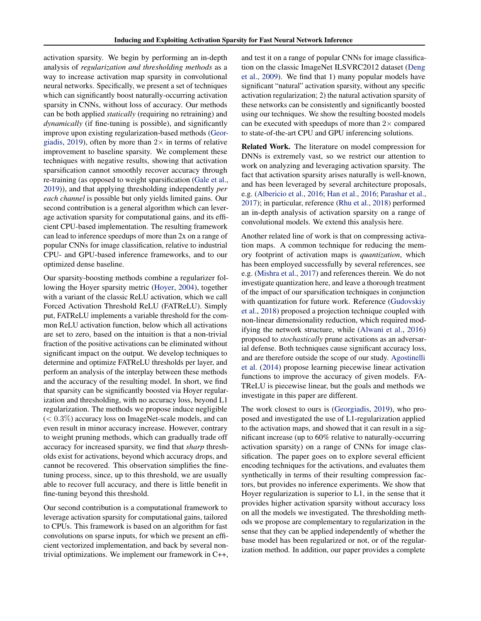activation sparsity. We begin by performing an in-depth analysis of *regularization and thresholding methods* as a way to increase activation map sparsity in convolutional neural networks. Specifically, we present a set of techniques which can significantly boost naturally-occurring activation sparsity in CNNs, without loss of accuracy. Our methods can be both applied *statically* (requiring no retraining) and *dynamically* (if fine-tuning is possible), and significantly improve upon existing regularization-based methods [\(Geor](#page-9-0)[giadis,](#page-9-0) [2019\)](#page-9-0), often by more than  $2\times$  in terms of relative improvement to baseline sparsity. We complement these techniques with negative results, showing that activation sparsification cannot smoothly recover accuracy through re-training (as opposed to weight sparsification [\(Gale et al.,](#page-9-0) [2019\)](#page-9-0)), and that applying thresholding independently *per each channel* is possible but only yields limited gains. Our second contribution is a general algorithm which can leverage activation sparsity for computational gains, and its efficient CPU-based implementation. The resulting framework can lead to inference speedups of more than 2x on a range of popular CNNs for image classification, relative to industrial CPU- and GPU-based inference frameworks, and to our optimized dense baseline.

Our sparsity-boosting methods combine a regularizer following the Hoyer sparsity metric [\(Hoyer,](#page-9-0) [2004\)](#page-9-0), together with a variant of the classic ReLU activation, which we call Forced Activation Threshold ReLU (FATReLU). Simply put, FATReLU implements a variable threshold for the common ReLU activation function, below which all activations are set to zero, based on the intuition is that a non-trivial fraction of the positive activations can be eliminated without significant impact on the output. We develop techniques to determine and optimize FATReLU thresholds per layer, and perform an analysis of the interplay between these methods and the accuracy of the resulting model. In short, we find that sparsity can be significantly boosted via Hoyer regularization and thresholding, with no accuracy loss, beyond L1 regularization. The methods we propose induce negligible  $(< 0.3\%)$  accuracy loss on ImageNet-scale models, and can even result in minor accuracy increase. However, contrary to weight pruning methods, which can gradually trade off accuracy for increased sparsity, we find that *sharp* thresholds exist for activations, beyond which accuracy drops, and cannot be recovered. This observation simplifies the finetuning process, since, up to this threshold, we are usually able to recover full accuracy, and there is little benefit in fine-tuning beyond this threshold.

Our second contribution is a computational framework to leverage activation sparsity for computational gains, tailored to CPUs. This framework is based on an algorithm for fast convolutions on sparse inputs, for which we present an efficient vectorized implementation, and back by several nontrivial optimizations. We implement our framework in C++, and test it on a range of popular CNNs for image classification on the classic ImageNet ILSVRC2012 dataset [\(Deng](#page-9-0) [et al.,](#page-9-0) [2009\)](#page-9-0). We find that 1) many popular models have significant "natural" activation sparsity, without any specific activation regularization; 2) the natural activation sparsity of these networks can be consistently and significantly boosted using our techniques. We show the resulting boosted models can be executed with speedups of more than  $2\times$  compared to state-of-the-art CPU and GPU inferencing solutions.

Related Work. The literature on model compression for DNNs is extremely vast, so we restrict our attention to work on analyzing and leveraging activation sparsity. The fact that activation sparsity arises naturally is well-known, and has been leveraged by several architecture proposals, e.g. [\(Albericio et al.,](#page-9-0) [2016;](#page-9-0) [Han et al.,](#page-9-0) [2016;](#page-9-0) [Parashar et al.,](#page-10-0) [2017\)](#page-10-0); in particular, reference [\(Rhu et al.,](#page-10-0) [2018\)](#page-10-0) performed an in-depth analysis of activation sparsity on a range of convolutional models. We extend this analysis here.

Another related line of work is that on compressing activation maps. A common technique for reducing the memory footprint of activation maps is *quantization*, which has been employed successfully by several references, see e.g. [\(Mishra et al.,](#page-10-0) [2017\)](#page-10-0) and references therein. We do not investigate quantization here, and leave a thorough treatment of the impact of our sparsification techniques in conjunction with quantization for future work. Reference [\(Gudovskiy](#page-9-0) [et al.,](#page-9-0) [2018\)](#page-9-0) proposed a projection technique coupled with non-linear dimensionality reduction, which required modifying the network structure, while [\(Alwani et al.,](#page-9-0) [2016\)](#page-9-0) proposed to *stochastically* prune activations as an adversarial defense. Both techniques cause significant accuracy loss, and are therefore outside the scope of our study. [Agostinelli](#page-9-0) [et al.](#page-9-0) [\(2014\)](#page-9-0) propose learning piecewise linear activation functions to improve the accuracy of given models. FA-TReLU is piecewise linear, but the goals and methods we investigate in this paper are different.

The work closest to ours is [\(Georgiadis,](#page-9-0) [2019\)](#page-9-0), who proposed and investigated the use of L1-regularization applied to the activation maps, and showed that it can result in a significant increase (up to 60% relative to naturally-occurring activation sparsity) on a range of CNNs for image classification. The paper goes on to explore several efficient encoding techniques for the activations, and evaluates them synthetically in terms of their resulting compression factors, but provides no inference experiments. We show that Hoyer regularization is superior to L1, in the sense that it provides higher activation sparsity without accuracy loss on all the models we investigated. The thresholding methods we propose are complementary to regularization in the sense that they can be applied independently of whether the base model has been regularized or not, or of the regularization method. In addition, our paper provides a complete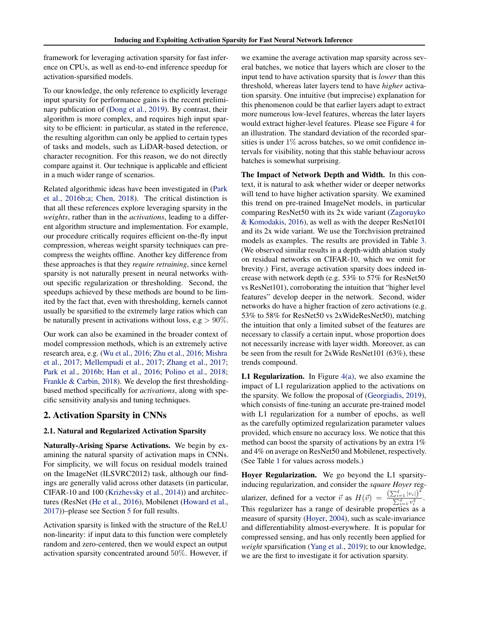framework for leveraging activation sparsity for fast inference on CPUs, as well as end-to-end inference speedup for activation-sparsified models.

To our knowledge, the only reference to explicitly leverage input sparsity for performance gains is the recent preliminary publication of [\(Dong et al.,](#page-9-0) [2019\)](#page-9-0). By contrast, their algorithm is more complex, and requires high input sparsity to be efficient: in particular, as stated in the reference, the resulting algorithm can only be applied to certain types of tasks and models, such as LiDAR-based detection, or character recognition. For this reason, we do not directly compare against it. Our technique is applicable and efficient in a much wider range of scenarios.

Related algorithmic ideas have been investigated in [\(Park](#page-10-0) [et al.,](#page-10-0) [2016b;a;](#page-10-0) [Chen,](#page-9-0) [2018\)](#page-9-0). The critical distinction is that all these references explore leveraging sparsity in the *weights*, rather than in the *activations*, leading to a different algorithm structure and implementation. For example, our procedure critically requires efficient on-the-fly input compression, whereas weight sparsity techniques can precompress the weights offline. Another key difference from these approaches is that they *require retraining*, since kernel sparsity is not naturally present in neural networks without specific regularization or thresholding. Second, the speedups achieved by these methods are bound to be limited by the fact that, even with thresholding, kernels cannot usually be sparsified to the extremely large ratios which can be naturally present in activations without loss, e.g  $> 90\%$ .

Our work can also be examined in the broader context of model compression methods, which is an extremely active research area, e.g. [\(Wu et al.,](#page-10-0) [2016;](#page-10-0) [Zhu et al.,](#page-10-0) [2016;](#page-10-0) [Mishra](#page-10-0) [et al.,](#page-10-0) [2017;](#page-10-0) [Mellempudi et al.,](#page-10-0) [2017;](#page-10-0) [Zhang et al.,](#page-10-0) [2017;](#page-10-0) [Park et al.,](#page-10-0) [2016b;](#page-10-0) [Han et al.,](#page-9-0) [2016;](#page-9-0) [Polino et al.,](#page-10-0) [2018;](#page-10-0) [Frankle & Carbin,](#page-9-0) [2018\)](#page-9-0). We develop the first thresholdingbased method specifically for *activations*, along with specific sensitivity analysis and tuning techniques.

## 2. Activation Sparsity in CNNs

#### 2.1. Natural and Regularized Activation Sparsity

Naturally-Arising Sparse Activations. We begin by examining the natural sparsity of activation maps in CNNs. For simplicity, we will focus on residual models trained on the ImageNet (ILSVRC2012) task, although our findings are generally valid across other datasets (in particular, CIFAR-10 and 100 [\(Krizhevsky et al.,](#page-9-0) [2014\)](#page-9-0)) and architectures (ResNet [\(He et al.,](#page-9-0) [2016\)](#page-9-0), Mobilenet [\(Howard et al.,](#page-9-0) [2017\)](#page-9-0))–please see Section [5](#page-7-0) for full results.

Activation sparsity is linked with the structure of the ReLU non-linearity: if input data to this function were completely random and zero-centered, then we would expect an output activation sparsity concentrated around 50%. However, if we examine the average activation map sparsity across several batches, we notice that layers which are closer to the input tend to have activation sparsity that is *lower* than this threshold, whereas later layers tend to have *higher* activation sparsity. One intuitive (but imprecise) explanation for this phenomenon could be that earlier layers adapt to extract more numerous low-level features, whereas the later layers would extract higher-level features. Please see Figure [4](#page-7-0) for an illustration. The standard deviation of the recorded sparsities is under 1% across batches, so we omit confidence intervals for visibility, noting that this stable behaviour across batches is somewhat surprising.

The Impact of Network Depth and Width. In this context, it is natural to ask whether wider or deeper networks will tend to have higher activation sparsity. We examined this trend on pre-trained ImageNet models, in particular comparing ResNet50 with its 2x wide variant [\(Zagoruyko](#page-10-0) [& Komodakis,](#page-10-0) [2016\)](#page-10-0), as well as with the deeper ResNet101 and its 2x wide variant. We use the Torchvision pretrained models as examples. The results are provided in Table [3.](#page-8-0) (We observed similar results in a depth-width ablation study on residual networks on CIFAR-10, which we omit for brevity.) First, average activation sparsity does indeed increase with network depth (e.g. 53% to 57% for ResNet50 vs ResNet101), corroborating the intuition that "higher level features" develop deeper in the network. Second, wider networks do have a higher fraction of zero activations (e.g. 53% to 58% for ResNet50 vs 2xWideResNet50), matching the intuition that only a limited subset of the features are necessary to classify a certain input, whose proportion does not necessarily increase with layer width. Moreover, as can be seen from the result for 2xWide ResNet101 (63%), these trends compound.

**L1 Regularization.** In Figure  $4(a)$ , we also examine the impact of L1 regularization applied to the activations on the sparsity. We follow the proposal of [\(Georgiadis,](#page-9-0) [2019\)](#page-9-0), which consists of fine-tuning an accurate pre-trained model with L1 regularization for a number of epochs, as well as the carefully optimized regularization parameter values provided, which ensure no accuracy loss. We notice that this method can boost the sparsity of activations by an extra 1% and 4% on average on ResNet50 and Mobilenet, respectively. (See Table [1](#page-7-0) for values across models.)

Hoyer Regularization. We go beyond the L1 sparsityinducing regularization, and consider the *square Hoyer* regularizer, defined for a vector  $\vec{v}$  as  $H(\vec{v}) = \frac{\left(\sum_{i=1}^{d} |v_i|\right)^2}{\sum_{i=1}^{d} |v_i|^2}$  $\frac{u_{i=1} |v_i|}{\sum_{i=1}^d v_i^2}$ . This regularizer has a range of desirable properties as a measure of sparsity [\(Hoyer,](#page-9-0) [2004\)](#page-9-0), such as scale-invariance and differentiability almost-everywhere. It is popular for compressed sensing, and has only recently been applied for *weight* sparsification [\(Yang et al.,](#page-10-0) [2019\)](#page-10-0); to our knowledge, we are the first to investigate it for activation sparsity.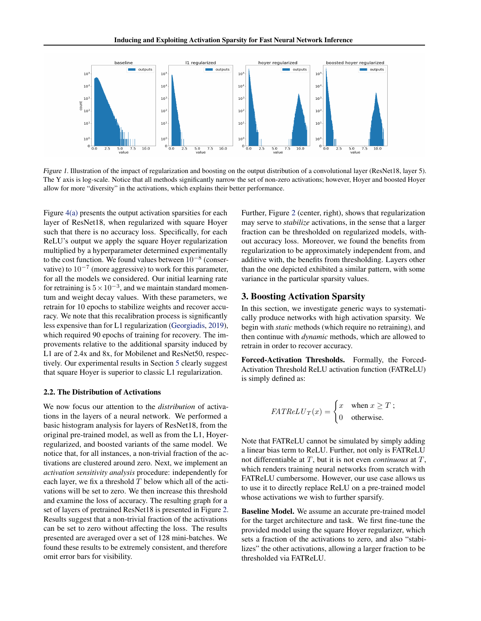<span id="page-3-0"></span>

Figure 1. Illustration of the impact of regularization and boosting on the output distribution of a convolutional layer (ResNet18, layer 5). The Y axis is log-scale. Notice that all methods significantly narrow the set of non-zero activations; however, Hoyer and boosted Hoyer allow for more "diversity" in the activations, which explains their better performance.

Figure [4\(a\)](#page-7-0) presents the output activation sparsities for each layer of ResNet18, when regularized with square Hoyer such that there is no accuracy loss. Specifically, for each ReLU's output we apply the square Hoyer regularization multiplied by a hyperparameter determined experimentally to the cost function. We found values between  $10^{-8}$  (conservative) to  $10^{-7}$  (more aggressive) to work for this parameter, for all the models we considered. Our initial learning rate for retraining is  $5 \times 10^{-3}$ , and we maintain standard momentum and weight decay values. With these parameters, we retrain for 10 epochs to stabilize weights and recover accuracy. We note that this recalibration process is significantly less expensive than for L1 regularization [\(Georgiadis,](#page-9-0) [2019\)](#page-9-0), which required 90 epochs of training for recovery. The improvements relative to the additional sparsity induced by L1 are of 2.4x and 8x, for Mobilenet and ResNet50, respectively. Our experimental results in Section [5](#page-7-0) clearly suggest that square Hoyer is superior to classic L1 regularization.

#### 2.2. The Distribution of Activations

We now focus our attention to the *distribution* of activations in the layers of a neural network. We performed a basic histogram analysis for layers of ResNet18, from the original pre-trained model, as well as from the L1, Hoyerregularized, and boosted variants of the same model. We notice that, for all instances, a non-trivial fraction of the activations are clustered around zero. Next, we implement an *activation sensitivity analysis* procedure: independently for each layer, we fix a threshold  $T$  below which all of the activations will be set to zero. We then increase this threshold and examine the loss of accuracy. The resulting graph for a set of layers of pretrained ResNet18 is presented in Figure [2.](#page-4-0) Results suggest that a non-trivial fraction of the activations can be set to zero without affecting the loss. The results presented are averaged over a set of 128 mini-batches. We found these results to be extremely consistent, and therefore omit error bars for visibility.

Further, Figure [2](#page-4-0) (center, right), shows that regularization may serve to *stabilize* activations, in the sense that a larger fraction can be thresholded on regularized models, without accuracy loss. Moreover, we found the benefits from regularization to be approximately independent from, and additive with, the benefits from thresholding. Layers other than the one depicted exhibited a similar pattern, with some variance in the particular sparsity values.

### 3. Boosting Activation Sparsity

In this section, we investigate generic ways to systematically produce networks with high activation sparsity. We begin with *static* methods (which require no retraining), and then continue with *dynamic* methods, which are allowed to retrain in order to recover accuracy.

Forced-Activation Thresholds. Formally, the Forced-Activation Threshold ReLU activation function (FATReLU) is simply defined as:

$$
FATReLU_T(x) = \begin{cases} x & \text{when } x \ge T; \\ 0 & \text{otherwise.} \end{cases}
$$

Note that FATReLU cannot be simulated by simply adding a linear bias term to ReLU. Further, not only is FATReLU not differentiable at T, but it is not even *continuous* at T, which renders training neural networks from scratch with FATReLU cumbersome. However, our use case allows us to use it to directly replace ReLU on a pre-trained model whose activations we wish to further sparsify.

Baseline Model. We assume an accurate pre-trained model for the target architecture and task. We first fine-tune the provided model using the square Hoyer regularizer, which sets a fraction of the activations to zero, and also "stabilizes" the other activations, allowing a larger fraction to be thresholded via FATReLU.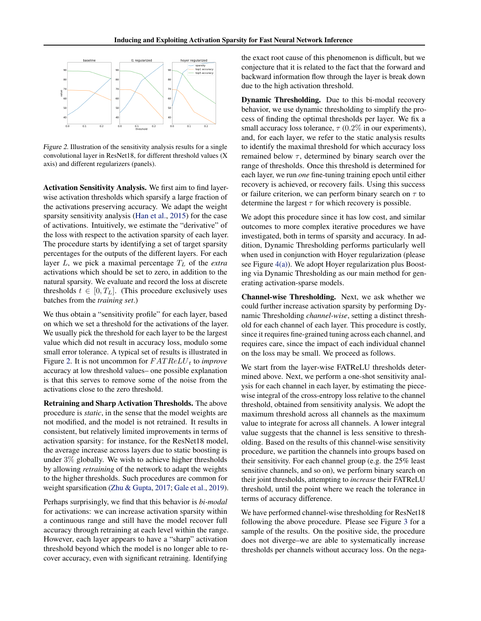<span id="page-4-0"></span>

Figure 2. Illustration of the sensitivity analysis results for a single convolutional layer in ResNet18, for different threshold values (X axis) and different regularizers (panels).

Activation Sensitivity Analysis. We first aim to find layerwise activation thresholds which sparsify a large fraction of the activations preserving accuracy. We adapt the weight sparsity sensitivity analysis [\(Han et al.,](#page-9-0) [2015\)](#page-9-0) for the case of activations. Intuitively, we estimate the "derivative" of the loss with respect to the activation sparsity of each layer. The procedure starts by identifying a set of target sparsity percentages for the outputs of the different layers. For each layer  $L$ , we pick a maximal percentage  $T_L$  of the *extra* activations which should be set to zero, in addition to the natural sparsity. We evaluate and record the loss at discrete thresholds  $t \in [0, T<sub>L</sub>]$ . (This procedure exclusively uses batches from the *training set*.)

We thus obtain a "sensitivity profile" for each layer, based on which we set a threshold for the activations of the layer. We usually pick the threshold for each layer to be the largest value which did not result in accuracy loss, modulo some small error tolerance. A typical set of results is illustrated in Figure 2. It is not uncommon for  $FATReLU_t$  to *improve* accuracy at low threshold values– one possible explanation is that this serves to remove some of the noise from the activations close to the zero threshold.

Retraining and Sharp Activation Thresholds. The above procedure is *static*, in the sense that the model weights are not modified, and the model is not retrained. It results in consistent, but relatively limited improvements in terms of activation sparsity: for instance, for the ResNet18 model, the average increase across layers due to static boosting is under 3% globally. We wish to achieve higher thresholds by allowing *retraining* of the network to adapt the weights to the higher thresholds. Such procedures are common for weight sparsification [\(Zhu & Gupta,](#page-10-0) [2017;](#page-10-0) [Gale et al.,](#page-9-0) [2019\)](#page-9-0).

Perhaps surprisingly, we find that this behavior is *bi-modal* for activations: we can increase activation sparsity within a continuous range and still have the model recover full accuracy through retraining at each level within the range. However, each layer appears to have a "sharp" activation threshold beyond which the model is no longer able to recover accuracy, even with significant retraining. Identifying the exact root cause of this phenomenon is difficult, but we conjecture that it is related to the fact that the forward and backward information flow through the layer is break down due to the high activation threshold.

Dynamic Thresholding. Due to this bi-modal recovery behavior, we use dynamic thresholding to simplify the process of finding the optimal thresholds per layer. We fix a small accuracy loss tolerance,  $\tau$  (0.2% in our experiments), and, for each layer, we refer to the static analysis results to identify the maximal threshold for which accuracy loss remained below  $\tau$ , determined by binary search over the range of thresholds. Once this threshold is determined for each layer, we run *one* fine-tuning training epoch until either recovery is achieved, or recovery fails. Using this success or failure criterion, we can perform binary search on  $\tau$  to determine the largest  $\tau$  for which recovery is possible.

We adopt this procedure since it has low cost, and similar outcomes to more complex iterative procedures we have investigated, both in terms of sparsity and accuracy. In addition, Dynamic Thresholding performs particularly well when used in conjunction with Hoyer regularization (please see Figure [4\(a\)\)](#page-7-0). We adopt Hoyer regularization plus Boosting via Dynamic Thresholding as our main method for generating activation-sparse models.

Channel-wise Thresholding. Next, we ask whether we could further increase activation sparsity by performing Dynamic Thresholding *channel-wise*, setting a distinct threshold for each channel of each layer. This procedure is costly, since it requires fine-grained tuning across each channel, and requires care, since the impact of each individual channel on the loss may be small. We proceed as follows.

We start from the layer-wise FATReLU thresholds determined above. Next, we perform a one-shot sensitivity analysis for each channel in each layer, by estimating the piecewise integral of the cross-entropy loss relative to the channel threshold, obtained from sensitivity analysis. We adopt the maximum threshold across all channels as the maximum value to integrate for across all channels. A lower integral value suggests that the channel is less sensitive to thresholding. Based on the results of this channel-wise sensitivity procedure, we partition the channels into groups based on their sensitivity. For each channel group (e.g. the 25% least sensitive channels, and so on), we perform binary search on their joint thresholds, attempting to *increase* their FATReLU threshold, until the point where we reach the tolerance in terms of accuracy difference.

We have performed channel-wise thresholding for ResNet18 following the above procedure. Please see Figure [3](#page-5-0) for a sample of the results. On the positive side, the procedure does not diverge–we are able to systematically increase thresholds per channels without accuracy loss. On the nega-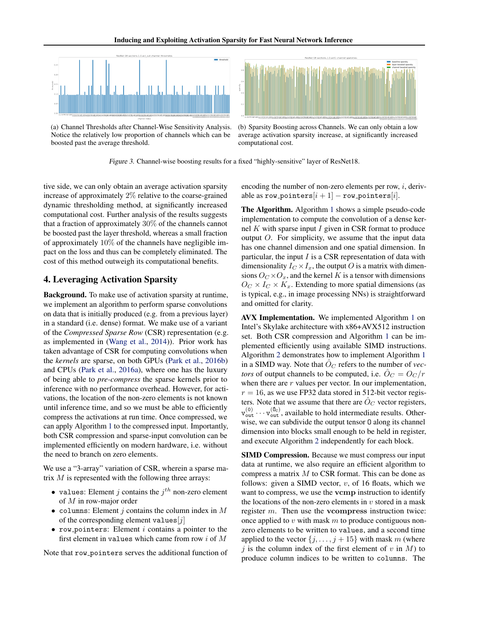<span id="page-5-0"></span>

(a) Channel Thresholds after Channel-Wise Sensitivity Analysis. Notice the relatively low proportion of channels which can be boosted past the average threshold.

(b) Sparsity Boosting across Channels. We can only obtain a low average activation sparsity increase, at significantly increased computational cost.

Figure 3. Channel-wise boosting results for a fixed "highly-sensitive" layer of ResNet18.

tive side, we can only obtain an average activation sparsity increase of approximately 2% relative to the coarse-grained dynamic thresholding method, at significantly increased computational cost. Further analysis of the results suggests that a fraction of approximately 30% of the channels cannot be boosted past the layer threshold, whereas a small fraction of approximately 10% of the channels have negligible impact on the loss and thus can be completely eliminated. The cost of this method outweigh its computational benefits.

### 4. Leveraging Activation Sparsity

Background. To make use of activation sparsity at runtime, we implement an algorithm to perform sparse convolutions on data that is initially produced (e.g. from a previous layer) in a standard (i.e. dense) format. We make use of a variant of the *Compressed Sparse Row* (CSR) representation (e.g. as implemented in [\(Wang et al.,](#page-10-0) [2014\)](#page-10-0)). Prior work has taken advantage of CSR for computing convolutions when the *kernels* are sparse, on both GPUs [\(Park et al.,](#page-10-0) [2016b\)](#page-10-0) and CPUs [\(Park et al.,](#page-10-0) [2016a\)](#page-10-0), where one has the luxury of being able to *pre-compress* the sparse kernels prior to inference with no performance overhead. However, for activations, the location of the non-zero elements is not known until inference time, and so we must be able to efficiently compress the activations at run time. Once compressed, we can apply Algorithm [1](#page-6-0) to the compressed input. Importantly, both CSR compression and sparse-input convolution can be implemented efficiently on modern hardware, i.e. without the need to branch on zero elements.

We use a "3-array" variation of CSR, wherein a sparse matrix  $M$  is represented with the following three arrays:

- values: Element *j* contains the  $j<sup>th</sup>$  non-zero element of M in row-major order
- columns: Element j contains the column index in  $M$ of the corresponding element values  $[j]$
- $\bullet$  row pointers: Element  $i$  contains a pointer to the first element in values which came from row  $i$  of  $M$

Note that row pointers serves the additional function of

encoding the number of non-zero elements per row,  $i$ , derivable as row\_pointers $[i + 1]$  – row\_pointers[i].

The Algorithm. Algorithm [1](#page-6-0) shows a simple pseudo-code implementation to compute the convolution of a dense kernel  $K$  with sparse input  $I$  given in CSR format to produce output  $O$ . For simplicity, we assume that the input data has one channel dimension and one spatial dimension. In particular, the input  $I$  is a CSR representation of data with dimensionality  $I_C \times I_x$ , the output O is a matrix with dimensions  $O<sub>C</sub> \times O<sub>x</sub>$ , and the kernel K is a tensor with dimensions  $O_C \times I_C \times K_x$ . Extending to more spatial dimensions (as is typical, e.g., in image processing NNs) is straightforward and omitted for clarity.

AVX Implementation. We implemented Algorithm [1](#page-6-0) on Intel's Skylake architecture with x86+AVX512 instruction set. Both CSR compression and Algorithm [1](#page-6-0) can be implemented efficiently using available SIMD instructions. Algorithm [2](#page-6-0) demonstrates how to implement Algorithm [1](#page-6-0) in a SIMD way. Note that  $\hat{O}_C$  refers to the number of *vectors* of output channels to be computed, i.e.  $\ddot{O}_C = O_C/r$ when there are  $r$  values per vector. In our implementation,  $r = 16$ , as we use FP32 data stored in 512-bit vector registers. Note that we assume that there are  $\ddot{O}_C$  vector registers,  $v_{\text{out}}^{(0)} \cdots v_{\text{out}}^{(\hat{0}_c)}$ , available to hold intermediate results. Otherwise, we can subdivide the output tensor O along its channel dimension into blocks small enough to be held in register, and execute Algorithm [2](#page-6-0) independently for each block.

SIMD Compression. Because we must compress our input data at runtime, we also require an efficient algorithm to compress a matrix M to CSR format. This can be done as follows: given a SIMD vector,  $v$ , of 16 floats, which we want to compress, we use the vcmp instruction to identify the locations of the non-zero elements in  $v$  stored in a mask register m. Then use the vcompress instruction twice: once applied to  $v$  with mask  $m$  to produce contiguous nonzero elements to be written to values, and a second time applied to the vector  $\{j, \ldots, j + 15\}$  with mask m (where i is the column index of the first element of v in  $M$ ) to produce column indices to be written to columns. The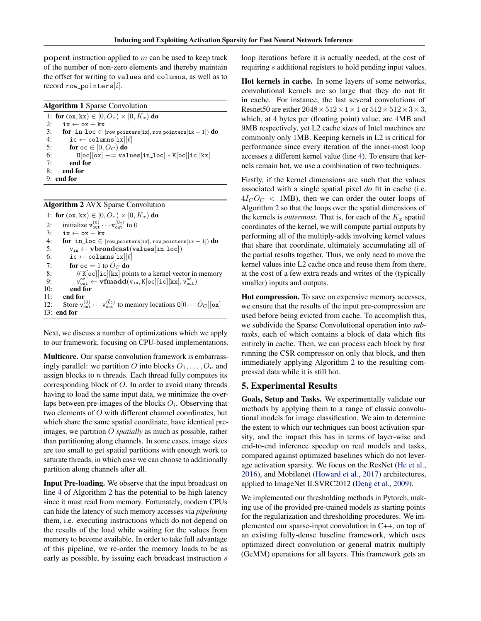<span id="page-6-0"></span>popcnt instruction applied to  $m$  can be used to keep track of the number of non-zero elements and thereby maintain the offset for writing to values and columns, as well as to record row pointers $[i]$ .

|  | <b>Algorithm 1 Sparse Convolution</b> |  |  |  |  |
|--|---------------------------------------|--|--|--|--|
|--|---------------------------------------|--|--|--|--|

1: for  $(\alpha x, kx) \in [0, O_x) \times [0, K_x)$  do 2:  $ix \leftarrow ox + kx$ 3: for in\_loc ∈  $[row\_points[ix], row\_points[ix + 1])$  do 4: ic ← columns $[ix][\ell]$  $ic \leftarrow columns[ix][\ell]$ 5: for  $oc \in [0, O_C)$  do 6:  $0[\infty][\infty]$  += values[in\_loc] \* K[oc][ic][kx]<br>7: **end for** end for 8: end for 9: end for

|  |  | <b>Algorithm 2 AVX Sparse Convolution</b> |
|--|--|-------------------------------------------|
|  |  |                                           |

|     | 1: for $(\infty, kx) \in [0, O_x) \times [0, K_x)$ do                                                                                                                                            |
|-----|--------------------------------------------------------------------------------------------------------------------------------------------------------------------------------------------------|
| 2:  | initialize $v_{\text{out}}^{(0)} \cdots v_{\text{out}}^{(\hat{0}_{C})}$ to 0                                                                                                                     |
| 3:  | $ix \leftarrow ox + kx$                                                                                                                                                                          |
| 4:  | for in loc $\in$ [row_pointers[ix], row_pointers[ix + 1]) do                                                                                                                                     |
| 5:  | $v_{in} \leftarrow \textbf{vbroadcast}(\text{values}[\texttt{in\_loc}])$                                                                                                                         |
| 6:  | $ic \leftarrow columns[ix][\ell]$                                                                                                                                                                |
| 7:  | for $oc = 1$ to $\ddot{O}_C$ do                                                                                                                                                                  |
| 8:  | // $K[\text{oc}][i\text{c}][kx]$ points to a kernel vector in memory                                                                                                                             |
| 9:  | $v_{\text{out}}^{\text{oc}} \leftarrow \mathbf{v} \mathbf{f} \mathbf{m} \mathbf{a} \mathbf{d} (\mathbf{v}_{\text{in}}, K[\text{oc}][\text{ic}][\text{kx}], \mathbf{v}_{\text{out}}^{\text{oc}})$ |
| 10: | end for                                                                                                                                                                                          |
| 11: | end for                                                                                                                                                                                          |
| 12: | Store $\mathbf{v}_{\text{out}}^{(0)} \cdots \mathbf{v}_{\text{out}}^{(\mathbf{\hat{0}}_c)}$ to memory locations $\mathbf{0}[0 \cdots \hat{O}_C][\mathbf{ox}]$                                    |
|     | $13:$ end for                                                                                                                                                                                    |

Next, we discuss a number of optimizations which we apply to our framework, focusing on CPU-based implementations.

Multicore. Our sparse convolution framework is embarrassingly parallel: we partition O into blocks  $O_1, \ldots, O_n$  and assign blocks to  $n$  threads. Each thread fully computes its corresponding block of O. In order to avoid many threads having to load the same input data, we minimize the overlaps between pre-images of the blocks  $O_i$ . Observing that two elements of O with different channel coordinates, but which share the same spatial coordinate, have identical preimages, we partition O *spatially* as much as possible, rather than partitioning along channels. In some cases, image sizes are too small to get spatial partitions with enough work to saturate threads, in which case we can choose to additionally partition along channels after all.

Input Pre-loading. We observe that the input broadcast on line 4 of Algorithm 2 has the potential to be high latency since it must read from memory. Fortunately, modern CPUs can hide the latency of such memory accesses via *pipelining* them, i.e. executing instructions which do not depend on the results of the load while waiting for the values from memory to become available. In order to take full advantage of this pipeline, we re-order the memory loads to be as early as possible, by issuing each broadcast instruction s

loop iterations before it is actually needed, at the cost of requiring s additional registers to hold pending input values.

Hot kernels in cache. In some layers of some networks, convolutional kernels are so large that they do not fit in cache. For instance, the last several convolutions of Resnet50 are either  $2048 \times 512 \times 1 \times 1$  or  $512 \times 512 \times 3 \times 3$ , which, at 4 bytes per (floating point) value, are 4MB and 9MB respectively, yet L2 cache sizes of Intel machines are commonly only 1MB. Keeping kernels in L2 is critical for performance since every iteration of the inner-most loop accesses a different kernel value (line 4). To ensure that kernels remain hot, we use a combination of two techniques.

Firstly, if the kernel dimensions are such that the values associated with a single spatial pixel *do* fit in cache (i.e.  $4I_{C}O_{C}$  < 1MB), then we can order the outer loops of Algorithm 2 so that the loops over the spatial dimensions of the kernels is *outermost*. That is, for each of the  $K_x$  spatial coordinates of the kernel, we will compute partial outputs by performing all of the multiply-adds involving kernel values that share that coordinate, ultimately accumulating all of the partial results together. Thus, we only need to move the kernel values into L2 cache once and reuse them from there, at the cost of a few extra reads and writes of the (typically smaller) inputs and outputs.

Hot compression. To save on expensive memory accesses, we ensure that the results of the input pre-compression are used before being evicted from cache. To accomplish this, we subdivide the Sparse Convolutional operation into *subtasks*, each of which contains a block of data which fits entirely in cache. Then, we can process each block by first running the CSR compressor on only that block, and then immediately applying Algorithm 2 to the resulting compressed data while it is still hot.

### 5. Experimental Results

Goals, Setup and Tasks. We experimentally validate our methods by applying them to a range of classic convolutional models for image classification. We aim to determine the extent to which our techniques can boost activation sparsity, and the impact this has in terms of layer-wise and end-to-end inference speedup on real models and tasks, compared against optimized baselines which do not leverage activation sparsity. We focus on the ResNet [\(He et al.,](#page-9-0) [2016\)](#page-9-0), and Mobilenet [\(Howard et al.,](#page-9-0) [2017\)](#page-9-0) architectures, applied to ImageNet ILSVRC2012 [\(Deng et al.,](#page-9-0) [2009\)](#page-9-0).

We implemented our thresholding methods in Pytorch, making use of the provided pre-trained models as starting points for the regularization and thresholding procedures. We implemented our sparse-input convolution in C++, on top of an existing fully-dense baseline framework, which uses optimized direct convolution or general matrix multiply (GeMM) operations for all layers. This framework gets an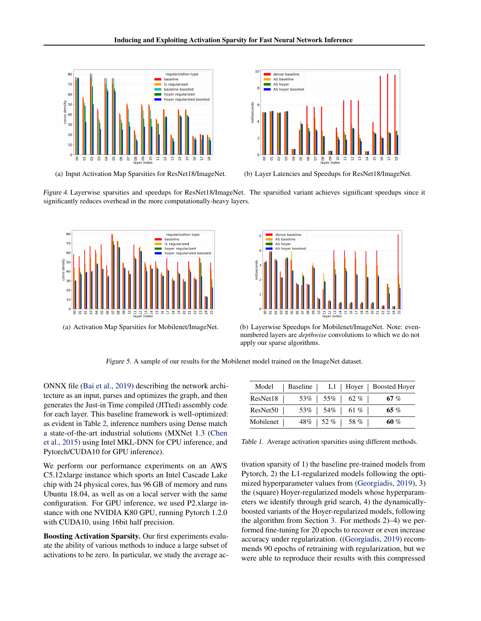<span id="page-7-0"></span>



(a) Input Activation Map Sparsities for ResNet18/ImageNet. (b) Layer Latencies and Speedups for ResNet18/ImageNet.

Figure 4. Layerwise sparsities and speedups for ResNet18/ImageNet. The sparsified variant achieves significant speedups since it significantly reduces overhead in the more computationally-heavy layers.





(a) Activation Map Sparsities for Mobilenet/ImageNet. (b) Layerwise Speedups for Mobilenet/ImageNet. Note: evennumbered layers are *depthwise* convolutions to which we do not apply our sparse algorithms.

Figure 5. A sample of our results for the Mobilenet model trained on the ImageNet dataset.

ONNX file [\(Bai et al.,](#page-9-0) [2019\)](#page-9-0) describing the network architecture as an input, parses and optimizes the graph, and then generates the Just-in Time compiled (JITted) assembly code for each layer. This baseline framework is well-optimized: as evident in Table [2,](#page-8-0) inference numbers using Dense match a state-of-the-art industrial solutions (MXNet 1.3 [\(Chen](#page-9-0) [et al.,](#page-9-0) [2015\)](#page-9-0) using Intel MKL-DNN for CPU inference, and Pytorch/CUDA10 for GPU inference).

We perform our performance experiments on an AWS C5.12xlarge instance which sports an Intel Cascade Lake chip with 24 physical cores, has 96 GB of memory and runs Ubuntu 18.04, as well as on a local server with the same configuration. For GPU inference, we used P2.xlarge instance with one NVIDIA K80 GPU, running Pytorch 1.2.0 with CUDA10, using 16bit half precision.

Boosting Activation Sparsity. Our first experiments evaluate the ability of various methods to induce a large subset of activations to be zero. In particular, we study the average ac-

|           |                    |  |                      | Model   Baseline   L1   Hoyer   Boosted Hoyer |
|-----------|--------------------|--|----------------------|-----------------------------------------------|
| ResNet18  | 53\%   55\%   62\% |  |                      | $67\ \%$                                      |
| ResNet50  |                    |  | 53%   54%   61%      | 65 %                                          |
| Mobilenet |                    |  | $48\%$   52 %   58 % | 60 %                                          |

Table 1. Average activation sparsities using different methods.

tivation sparsity of 1) the baseline pre-trained models from Pytorch, 2) the L1-regularized models following the optimized hyperparameter values from [\(Georgiadis,](#page-9-0) [2019\)](#page-9-0), 3) the (square) Hoyer-regularized models whose hyperparameters we identify through grid search, 4) the dynamicallyboosted variants of the Hoyer-regularized models, following the algorithm from Section [3.](#page-3-0) For methods 2)–4) we performed fine-tuning for 20 epochs to recover or even increase accuracy under regularization. ([\(Georgiadis,](#page-9-0) [2019\)](#page-9-0) recommends 90 epochs of retraining with regularization, but we were able to reproduce their results with this compressed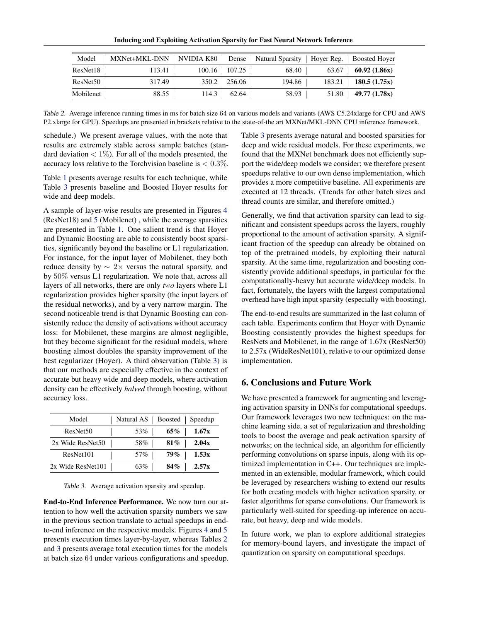Inducing and Exploiting Activation Sparsity for Fast Neural Network Inference

<span id="page-8-0"></span>

| Model     |        | MXNet+MKL-DNN   NVIDIA K80   Dense   Natural Sparsity   Hoyer Reg.   Boosted Hoyer |        |                              |
|-----------|--------|------------------------------------------------------------------------------------|--------|------------------------------|
| ResNet18  | 113.41 | $100.16$   107.25                                                                  | 68.40  | 63.67   <b>60.92</b> (1.86x) |
| ResNet50  | 317.49 | $350.2$   256.06                                                                   | 194.86 | $183.21$   180.5 (1.75x)     |
| Mobilenet | 88.55  | $114.3$ 62.64                                                                      | 58.93  | $51.80$   49.77 (1.78x)      |

Table 2. Average inference running times in ms for batch size 64 on various models and variants (AWS C5.24xlarge for CPU and AWS P2.xlarge for GPU). Speedups are presented in brackets relative to the state-of-the art MXNet/MKL-DNN CPU inference framework.

schedule.) We present average values, with the note that results are extremely stable across sample batches (standard deviation  $\langle 1\% \rangle$ . For all of the models presented, the accuracy loss relative to the Torchvision baseline is  $< 0.3\%$ .

Table [1](#page-7-0) presents average results for each technique, while Table 3 presents baseline and Boosted Hoyer results for wide and deep models.

A sample of layer-wise results are presented in Figures [4](#page-7-0) (ResNet18) and [5](#page-7-0) (Mobilenet) , while the average sparsities are presented in Table [1.](#page-7-0) One salient trend is that Hoyer and Dynamic Boosting are able to consistently boost sparsities, significantly beyond the baseline or L1 regularization. For instance, for the input layer of Mobilenet, they both reduce density by  $\sim$  2× versus the natural sparsity, and by 50% versus L1 regularization. We note that, across all layers of all networks, there are only *two* layers where L1 regularization provides higher sparsity (the input layers of the residual networks), and by a very narrow margin. The second noticeable trend is that Dynamic Boosting can consistently reduce the density of activations without accuracy loss: for Mobilenet, these margins are almost negligible, but they become significant for the residual models, where boosting almost doubles the sparsity improvement of the best regularizer (Hoyer). A third observation (Table 3) is that our methods are especially effective in the context of accurate but heavy wide and deep models, where activation density can be effectively *halved* through boosting, without accuracy loss.

| Model                | Natural AS | Boosted |        | Speedup |
|----------------------|------------|---------|--------|---------|
| ResNet <sub>50</sub> |            | 53%     | 65%    | 1.67x   |
| 2x Wide ResNet50     |            | 58%     | $81\%$ | 2.04x   |
| ResNet101            |            | 57%     | 79%    | 1.53x   |
| 2x Wide ResNet101    |            | 63%     | 84%    | 2.57x   |

Table 3. Average activation sparsity and speedup.

End-to-End Inference Performance. We now turn our attention to how well the activation sparsity numbers we saw in the previous section translate to actual speedups in endto-end inference on the respective models. Figures [4](#page-7-0) and [5](#page-7-0) presents execution times layer-by-layer, whereas Tables 2 and 3 presents average total execution times for the models at batch size 64 under various configurations and speedup. Table 3 presents average natural and boosted sparsities for deep and wide residual models. For these experiments, we found that the MXNet benchmark does not efficiently support the wide/deep models we consider; we therefore present speedups relative to our own dense implementation, which provides a more competitive baseline. All experiments are executed at 12 threads. (Trends for other batch sizes and thread counts are similar, and therefore omitted.)

Generally, we find that activation sparsity can lead to significant and consistent speedups across the layers, roughly proportional to the amount of activation sparsity. A significant fraction of the speedup can already be obtained on top of the pretrained models, by exploiting their natural sparsity. At the same time, regularization and boosting consistently provide additional speedups, in particular for the computationally-heavy but accurate wide/deep models. In fact, fortunately, the layers with the largest computational overhead have high input sparsity (especially with boosting).

The end-to-end results are summarized in the last column of each table. Experiments confirm that Hoyer with Dynamic Boosting consistently provides the highest speedups for ResNets and Mobilenet, in the range of 1.67x (ResNet50) to 2.57x (WideResNet101), relative to our optimized dense implementation.

## 6. Conclusions and Future Work

We have presented a framework for augmenting and leveraging activation sparsity in DNNs for computational speedups. Our framework leverages two new techniques: on the machine learning side, a set of regularization and thresholding tools to boost the average and peak activation sparsity of networks; on the technical side, an algorithm for efficiently performing convolutions on sparse inputs, along with its optimized implementation in C++. Our techniques are implemented in an extensible, modular framework, which could be leveraged by researchers wishing to extend our results for both creating models with higher activation sparsity, or faster algorithms for sparse convolutions. Our framework is particularly well-suited for speeding-up inference on accurate, but heavy, deep and wide models.

In future work, we plan to explore additional strategies for memory-bound layers, and investigate the impact of quantization on sparsity on computational speedups.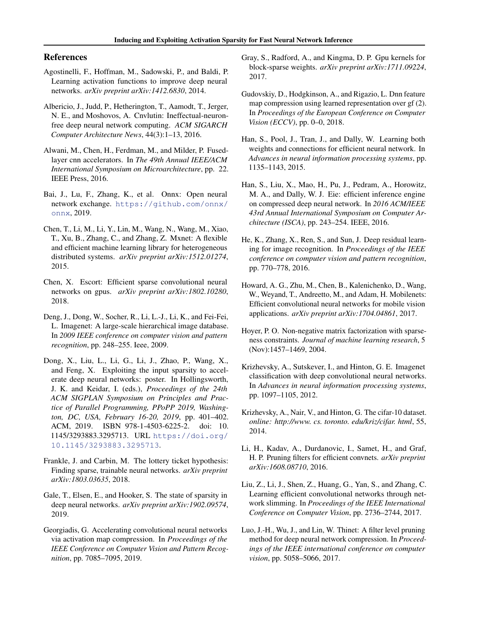### <span id="page-9-0"></span>References

- Agostinelli, F., Hoffman, M., Sadowski, P., and Baldi, P. Learning activation functions to improve deep neural networks. *arXiv preprint arXiv:1412.6830*, 2014.
- Albericio, J., Judd, P., Hetherington, T., Aamodt, T., Jerger, N. E., and Moshovos, A. Cnvlutin: Ineffectual-neuronfree deep neural network computing. *ACM SIGARCH Computer Architecture News*, 44(3):1–13, 2016.
- Alwani, M., Chen, H., Ferdman, M., and Milder, P. Fusedlayer cnn accelerators. In *The 49th Annual IEEE/ACM International Symposium on Microarchitecture*, pp. 22. IEEE Press, 2016.
- Bai, J., Lu, F., Zhang, K., et al. Onnx: Open neural network exchange. [https://github.com/onnx/](https://github.com/onnx/onnx) [onnx](https://github.com/onnx/onnx), 2019.
- Chen, T., Li, M., Li, Y., Lin, M., Wang, N., Wang, M., Xiao, T., Xu, B., Zhang, C., and Zhang, Z. Mxnet: A flexible and efficient machine learning library for heterogeneous distributed systems. *arXiv preprint arXiv:1512.01274*, 2015.
- Chen, X. Escort: Efficient sparse convolutional neural networks on gpus. *arXiv preprint arXiv:1802.10280*, 2018.
- Deng, J., Dong, W., Socher, R., Li, L.-J., Li, K., and Fei-Fei, L. Imagenet: A large-scale hierarchical image database. In *2009 IEEE conference on computer vision and pattern recognition*, pp. 248–255. Ieee, 2009.
- Dong, X., Liu, L., Li, G., Li, J., Zhao, P., Wang, X., and Feng, X. Exploiting the input sparsity to accelerate deep neural networks: poster. In Hollingsworth, J. K. and Keidar, I. (eds.), *Proceedings of the 24th ACM SIGPLAN Symposium on Principles and Practice of Parallel Programming, PPoPP 2019, Washington, DC, USA, February 16-20, 2019*, pp. 401–402. ACM, 2019. ISBN 978-1-4503-6225-2. doi: 10. 1145/3293883.3295713. URL [https://doi.org/](https://doi.org/10.1145/3293883.3295713) [10.1145/3293883.3295713](https://doi.org/10.1145/3293883.3295713).
- Frankle, J. and Carbin, M. The lottery ticket hypothesis: Finding sparse, trainable neural networks. *arXiv preprint arXiv:1803.03635*, 2018.
- Gale, T., Elsen, E., and Hooker, S. The state of sparsity in deep neural networks. *arXiv preprint arXiv:1902.09574*, 2019.
- Georgiadis, G. Accelerating convolutional neural networks via activation map compression. In *Proceedings of the IEEE Conference on Computer Vision and Pattern Recognition*, pp. 7085–7095, 2019.
- Gray, S., Radford, A., and Kingma, D. P. Gpu kernels for block-sparse weights. *arXiv preprint arXiv:1711.09224*, 2017.
- Gudovskiy, D., Hodgkinson, A., and Rigazio, L. Dnn feature map compression using learned representation over gf (2). In *Proceedings of the European Conference on Computer Vision (ECCV)*, pp. 0–0, 2018.
- Han, S., Pool, J., Tran, J., and Dally, W. Learning both weights and connections for efficient neural network. In *Advances in neural information processing systems*, pp. 1135–1143, 2015.
- Han, S., Liu, X., Mao, H., Pu, J., Pedram, A., Horowitz, M. A., and Dally, W. J. Eie: efficient inference engine on compressed deep neural network. In *2016 ACM/IEEE 43rd Annual International Symposium on Computer Architecture (ISCA)*, pp. 243–254. IEEE, 2016.
- He, K., Zhang, X., Ren, S., and Sun, J. Deep residual learning for image recognition. In *Proceedings of the IEEE conference on computer vision and pattern recognition*, pp. 770–778, 2016.
- Howard, A. G., Zhu, M., Chen, B., Kalenichenko, D., Wang, W., Weyand, T., Andreetto, M., and Adam, H. Mobilenets: Efficient convolutional neural networks for mobile vision applications. *arXiv preprint arXiv:1704.04861*, 2017.
- Hoyer, P. O. Non-negative matrix factorization with sparseness constraints. *Journal of machine learning research*, 5 (Nov):1457–1469, 2004.
- Krizhevsky, A., Sutskever, I., and Hinton, G. E. Imagenet classification with deep convolutional neural networks. In *Advances in neural information processing systems*, pp. 1097–1105, 2012.
- Krizhevsky, A., Nair, V., and Hinton, G. The cifar-10 dataset. *online: http://www. cs. toronto. edu/kriz/cifar. html*, 55, 2014.
- Li, H., Kadav, A., Durdanovic, I., Samet, H., and Graf, H. P. Pruning filters for efficient convnets. *arXiv preprint arXiv:1608.08710*, 2016.
- Liu, Z., Li, J., Shen, Z., Huang, G., Yan, S., and Zhang, C. Learning efficient convolutional networks through network slimming. In *Proceedings of the IEEE International Conference on Computer Vision*, pp. 2736–2744, 2017.
- Luo, J.-H., Wu, J., and Lin, W. Thinet: A filter level pruning method for deep neural network compression. In *Proceedings of the IEEE international conference on computer vision*, pp. 5058–5066, 2017.